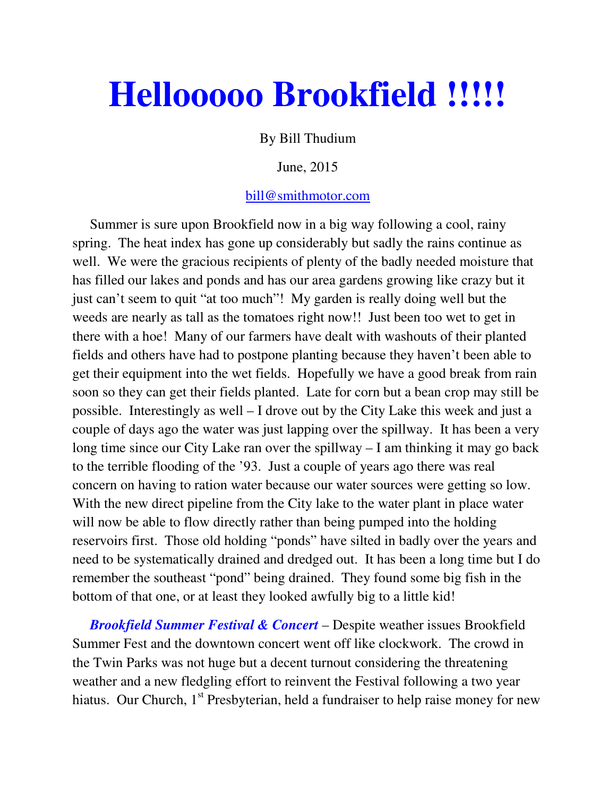## **Hellooooo Brookfield !!!!!**

By Bill Thudium

## June, 2015

## bill@smithmotor.com

Summer is sure upon Brookfield now in a big way following a cool, rainy spring. The heat index has gone up considerably but sadly the rains continue as well. We were the gracious recipients of plenty of the badly needed moisture that has filled our lakes and ponds and has our area gardens growing like crazy but it just can't seem to quit "at too much"! My garden is really doing well but the weeds are nearly as tall as the tomatoes right now!! Just been too wet to get in there with a hoe! Many of our farmers have dealt with washouts of their planted fields and others have had to postpone planting because they haven't been able to get their equipment into the wet fields. Hopefully we have a good break from rain soon so they can get their fields planted. Late for corn but a bean crop may still be possible. Interestingly as well – I drove out by the City Lake this week and just a couple of days ago the water was just lapping over the spillway. It has been a very long time since our City Lake ran over the spillway – I am thinking it may go back to the terrible flooding of the '93. Just a couple of years ago there was real concern on having to ration water because our water sources were getting so low. With the new direct pipeline from the City lake to the water plant in place water will now be able to flow directly rather than being pumped into the holding reservoirs first. Those old holding "ponds" have silted in badly over the years and need to be systematically drained and dredged out. It has been a long time but I do remember the southeast "pond" being drained. They found some big fish in the bottom of that one, or at least they looked awfully big to a little kid!

 *Brookfield Summer Festival & Concert* – Despite weather issues Brookfield Summer Fest and the downtown concert went off like clockwork. The crowd in the Twin Parks was not huge but a decent turnout considering the threatening weather and a new fledgling effort to reinvent the Festival following a two year hiatus. Our Church, 1<sup>st</sup> Presbyterian, held a fundraiser to help raise money for new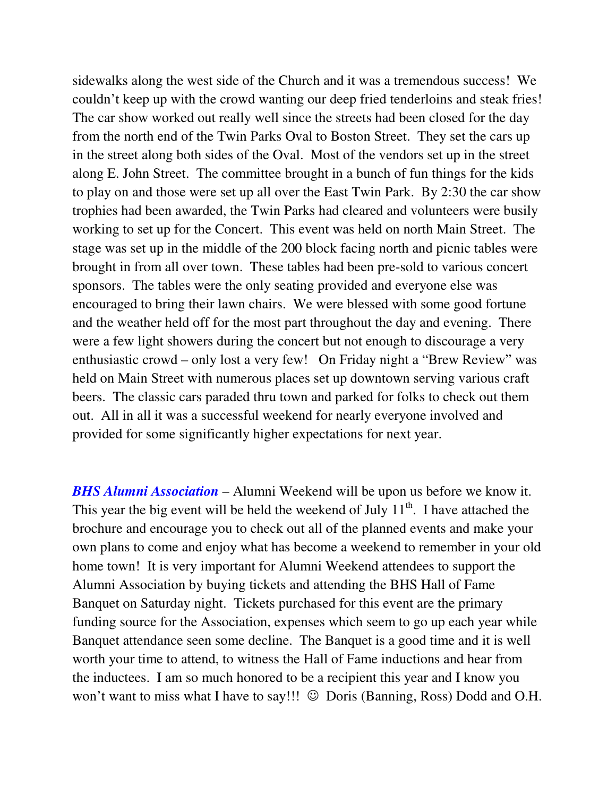sidewalks along the west side of the Church and it was a tremendous success! We couldn't keep up with the crowd wanting our deep fried tenderloins and steak fries! The car show worked out really well since the streets had been closed for the day from the north end of the Twin Parks Oval to Boston Street. They set the cars up in the street along both sides of the Oval. Most of the vendors set up in the street along E. John Street. The committee brought in a bunch of fun things for the kids to play on and those were set up all over the East Twin Park. By 2:30 the car show trophies had been awarded, the Twin Parks had cleared and volunteers were busily working to set up for the Concert. This event was held on north Main Street. The stage was set up in the middle of the 200 block facing north and picnic tables were brought in from all over town. These tables had been pre-sold to various concert sponsors. The tables were the only seating provided and everyone else was encouraged to bring their lawn chairs. We were blessed with some good fortune and the weather held off for the most part throughout the day and evening. There were a few light showers during the concert but not enough to discourage a very enthusiastic crowd – only lost a very few! On Friday night a "Brew Review" was held on Main Street with numerous places set up downtown serving various craft beers. The classic cars paraded thru town and parked for folks to check out them out. All in all it was a successful weekend for nearly everyone involved and provided for some significantly higher expectations for next year.

*BHS Alumni Association* – Alumni Weekend will be upon us before we know it. This year the big event will be held the weekend of July  $11<sup>th</sup>$ . I have attached the brochure and encourage you to check out all of the planned events and make your own plans to come and enjoy what has become a weekend to remember in your old home town! It is very important for Alumni Weekend attendees to support the Alumni Association by buying tickets and attending the BHS Hall of Fame Banquet on Saturday night. Tickets purchased for this event are the primary funding source for the Association, expenses which seem to go up each year while Banquet attendance seen some decline. The Banquet is a good time and it is well worth your time to attend, to witness the Hall of Fame inductions and hear from the inductees. I am so much honored to be a recipient this year and I know you won't want to miss what I have to say!!!  $\odot$  Doris (Banning, Ross) Dodd and O.H.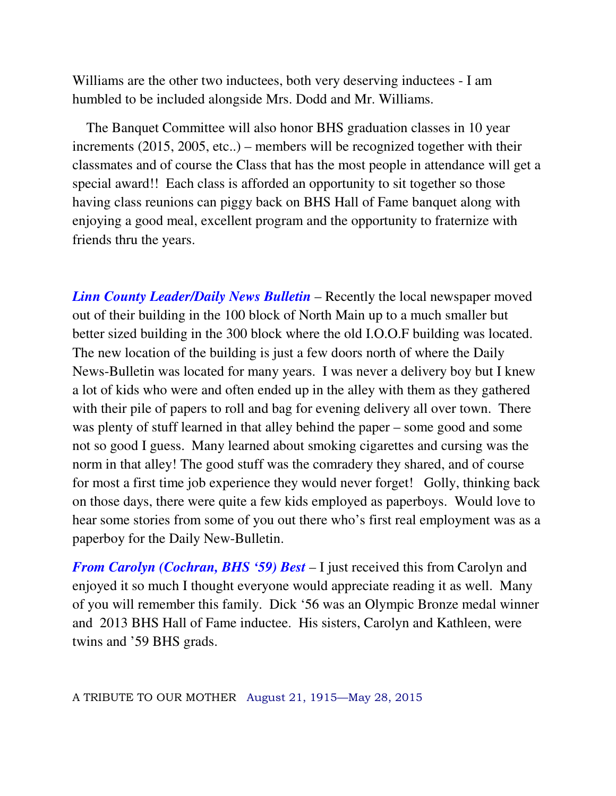Williams are the other two inductees, both very deserving inductees - I am humbled to be included alongside Mrs. Dodd and Mr. Williams.

 The Banquet Committee will also honor BHS graduation classes in 10 year increments (2015, 2005, etc..) – members will be recognized together with their classmates and of course the Class that has the most people in attendance will get a special award!! Each class is afforded an opportunity to sit together so those having class reunions can piggy back on BHS Hall of Fame banquet along with enjoying a good meal, excellent program and the opportunity to fraternize with friends thru the years.

*Linn County Leader/Daily News Bulletin* – Recently the local newspaper moved out of their building in the 100 block of North Main up to a much smaller but better sized building in the 300 block where the old I.O.O.F building was located. The new location of the building is just a few doors north of where the Daily News-Bulletin was located for many years. I was never a delivery boy but I knew a lot of kids who were and often ended up in the alley with them as they gathered with their pile of papers to roll and bag for evening delivery all over town. There was plenty of stuff learned in that alley behind the paper – some good and some not so good I guess. Many learned about smoking cigarettes and cursing was the norm in that alley! The good stuff was the comradery they shared, and of course for most a first time job experience they would never forget! Golly, thinking back on those days, there were quite a few kids employed as paperboys. Would love to hear some stories from some of you out there who's first real employment was as a paperboy for the Daily New-Bulletin.

*From Carolyn (Cochran, BHS '59) Best* – I just received this from Carolyn and enjoyed it so much I thought everyone would appreciate reading it as well. Many of you will remember this family. Dick '56 was an Olympic Bronze medal winner and 2013 BHS Hall of Fame inductee. His sisters, Carolyn and Kathleen, were twins and '59 BHS grads.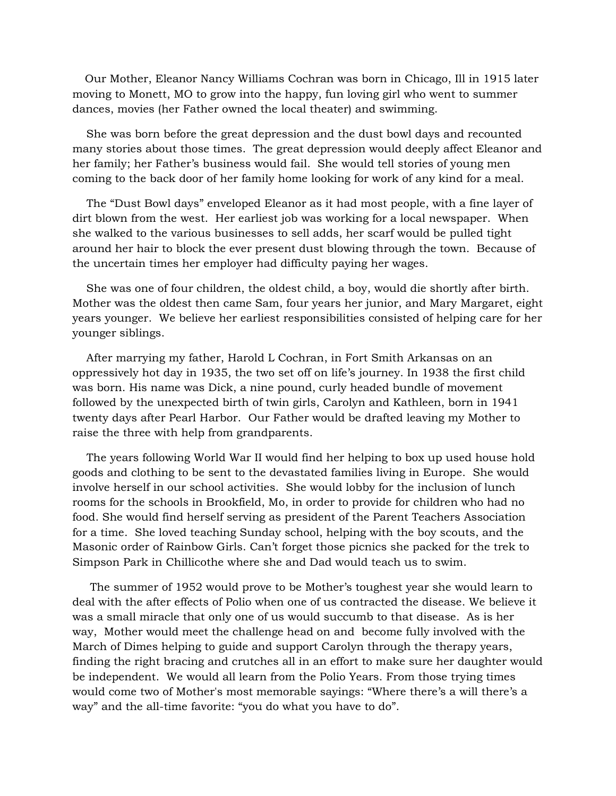Our Mother, Eleanor Nancy Williams Cochran was born in Chicago, Ill in 1915 later moving to Monett, MO to grow into the happy, fun loving girl who went to summer dances, movies (her Father owned the local theater) and swimming.

 She was born before the great depression and the dust bowl days and recounted many stories about those times. The great depression would deeply affect Eleanor and her family; her Father's business would fail. She would tell stories of young men coming to the back door of her family home looking for work of any kind for a meal.

 The "Dust Bowl days" enveloped Eleanor as it had most people, with a fine layer of dirt blown from the west. Her earliest job was working for a local newspaper. When she walked to the various businesses to sell adds, her scarf would be pulled tight around her hair to block the ever present dust blowing through the town. Because of the uncertain times her employer had difficulty paying her wages.

 She was one of four children, the oldest child, a boy, would die shortly after birth. Mother was the oldest then came Sam, four years her junior, and Mary Margaret, eight years younger. We believe her earliest responsibilities consisted of helping care for her younger siblings.

 After marrying my father, Harold L Cochran, in Fort Smith Arkansas on an oppressively hot day in 1935, the two set off on life's journey. In 1938 the first child was born. His name was Dick, a nine pound, curly headed bundle of movement followed by the unexpected birth of twin girls, Carolyn and Kathleen, born in 1941 twenty days after Pearl Harbor. Our Father would be drafted leaving my Mother to raise the three with help from grandparents.

 The years following World War II would find her helping to box up used house hold goods and clothing to be sent to the devastated families living in Europe. She would involve herself in our school activities. She would lobby for the inclusion of lunch rooms for the schools in Brookfield, Mo, in order to provide for children who had no food. She would find herself serving as president of the Parent Teachers Association for a time. She loved teaching Sunday school, helping with the boy scouts, and the Masonic order of Rainbow Girls. Can't forget those picnics she packed for the trek to Simpson Park in Chillicothe where she and Dad would teach us to swim.

 The summer of 1952 would prove to be Mother's toughest year she would learn to deal with the after effects of Polio when one of us contracted the disease. We believe it was a small miracle that only one of us would succumb to that disease. As is her way, Mother would meet the challenge head on and become fully involved with the March of Dimes helping to guide and support Carolyn through the therapy years, finding the right bracing and crutches all in an effort to make sure her daughter would be independent. We would all learn from the Polio Years. From those trying times would come two of Mother's most memorable sayings: "Where there's a will there's a way" and the all-time favorite: "you do what you have to do".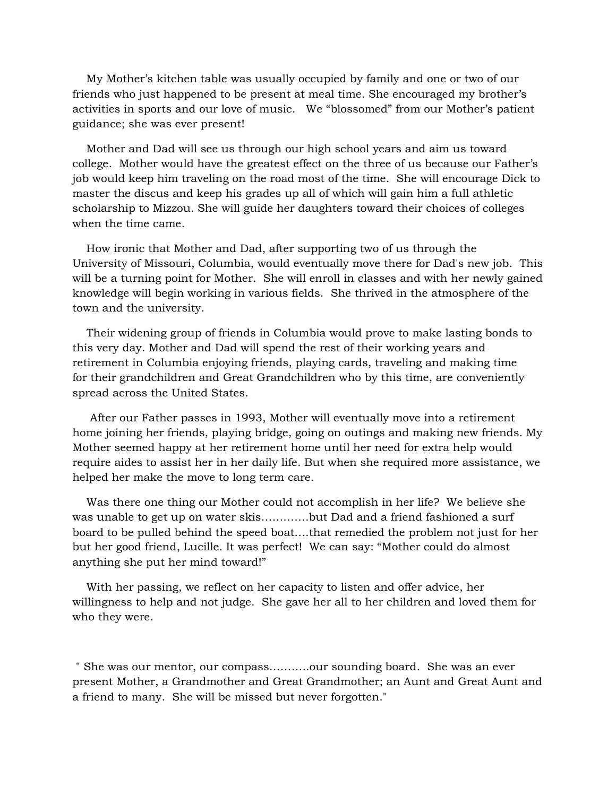My Mother's kitchen table was usually occupied by family and one or two of our friends who just happened to be present at meal time. She encouraged my brother's activities in sports and our love of music. We "blossomed" from our Mother's patient guidance; she was ever present!

 Mother and Dad will see us through our high school years and aim us toward college. Mother would have the greatest effect on the three of us because our Father's job would keep him traveling on the road most of the time. She will encourage Dick to master the discus and keep his grades up all of which will gain him a full athletic scholarship to Mizzou. She will guide her daughters toward their choices of colleges when the time came.

 How ironic that Mother and Dad, after supporting two of us through the University of Missouri, Columbia, would eventually move there for Dad's new job. This will be a turning point for Mother. She will enroll in classes and with her newly gained knowledge will begin working in various fields. She thrived in the atmosphere of the town and the university.

 Their widening group of friends in Columbia would prove to make lasting bonds to this very day. Mother and Dad will spend the rest of their working years and retirement in Columbia enjoying friends, playing cards, traveling and making time for their grandchildren and Great Grandchildren who by this time, are conveniently spread across the United States.

 After our Father passes in 1993, Mother will eventually move into a retirement home joining her friends, playing bridge, going on outings and making new friends. My Mother seemed happy at her retirement home until her need for extra help would require aides to assist her in her daily life. But when she required more assistance, we helped her make the move to long term care.

 Was there one thing our Mother could not accomplish in her life? We believe she was unable to get up on water skis………….but Dad and a friend fashioned a surf board to be pulled behind the speed boat….that remedied the problem not just for her but her good friend, Lucille. It was perfect! We can say: "Mother could do almost anything she put her mind toward!"

 With her passing, we reflect on her capacity to listen and offer advice, her willingness to help and not judge. She gave her all to her children and loved them for who they were.

 " She was our mentor, our compass………..our sounding board. She was an ever present Mother, a Grandmother and Great Grandmother; an Aunt and Great Aunt and a friend to many. She will be missed but never forgotten."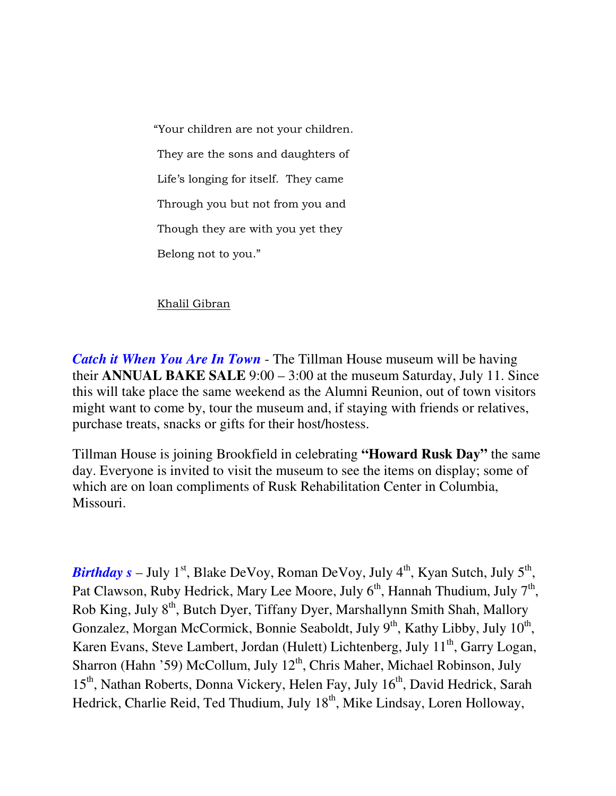"Your children are not your children. They are the sons and daughters of Life's longing for itself. They came Through you but not from you and Though they are with you yet they Belong not to you."

## Khalil Gibran

*Catch it When You Are In Town* - The Tillman House museum will be having their **ANNUAL BAKE SALE** 9:00 – 3:00 at the museum Saturday, July 11. Since this will take place the same weekend as the Alumni Reunion, out of town visitors might want to come by, tour the museum and, if staying with friends or relatives, purchase treats, snacks or gifts for their host/hostess.

Tillman House is joining Brookfield in celebrating **"Howard Rusk Day"** the same day. Everyone is invited to visit the museum to see the items on display; some of which are on loan compliments of Rusk Rehabilitation Center in Columbia, Missouri.

*Birthday s* – July 1<sup>st</sup>, Blake DeVoy, Roman DeVoy, July 4<sup>th</sup>, Kyan Sutch, July 5<sup>th</sup>, Pat Clawson, Ruby Hedrick, Mary Lee Moore, July  $6<sup>th</sup>$ , Hannah Thudium, July  $7<sup>th</sup>$ , Rob King, July 8th, Butch Dyer, Tiffany Dyer, Marshallynn Smith Shah, Mallory Gonzalez, Morgan McCormick, Bonnie Seaboldt, July  $9<sup>th</sup>$ , Kathy Libby, July  $10<sup>th</sup>$ , Karen Evans, Steve Lambert, Jordan (Hulett) Lichtenberg, July 11<sup>th</sup>, Garry Logan, Sharron (Hahn '59) McCollum, July  $12<sup>th</sup>$ , Chris Maher, Michael Robinson, July 15<sup>th</sup>, Nathan Roberts, Donna Vickery, Helen Fay, July 16<sup>th</sup>, David Hedrick, Sarah Hedrick, Charlie Reid, Ted Thudium, July 18<sup>th</sup>, Mike Lindsay, Loren Holloway,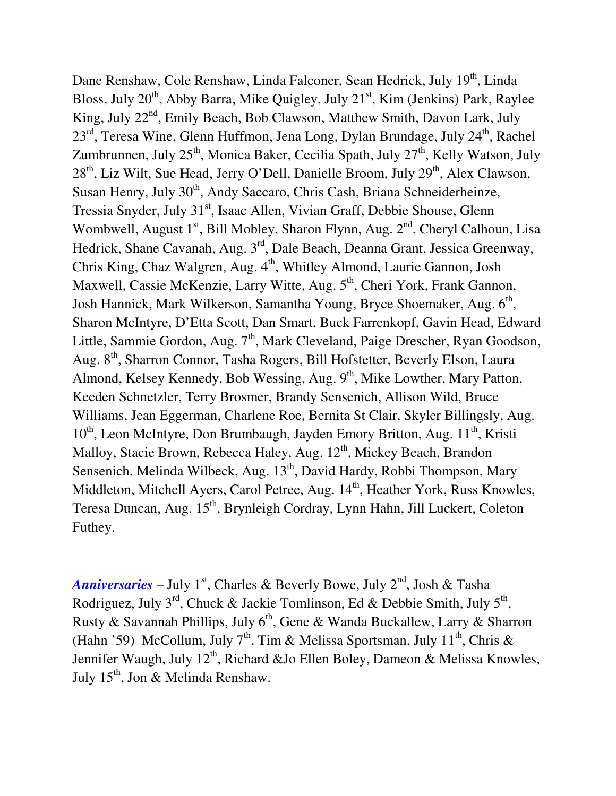Dane Renshaw, Cole Renshaw, Linda Falconer, Sean Hedrick, July 19<sup>th</sup>, Linda Bloss, July 20<sup>th</sup>, Abby Barra, Mike Quigley, July 21<sup>st</sup>, Kim (Jenkins) Park, Raylee King, July  $22<sup>nd</sup>$ , Emily Beach, Bob Clawson, Matthew Smith, Davon Lark, July 23<sup>rd</sup>, Teresa Wine, Glenn Huffmon, Jena Long, Dylan Brundage, July 24<sup>th</sup>, Rachel Zumbrunnen, July 25<sup>th</sup>, Monica Baker, Cecilia Spath, July 27<sup>th</sup>, Kelly Watson, July  $28<sup>th</sup>$ , Liz Wilt, Sue Head, Jerry O'Dell, Danielle Broom, July  $29<sup>th</sup>$ , Alex Clawson, Susan Henry, July 30<sup>th</sup>, Andy Saccaro, Chris Cash, Briana Schneiderheinze, Tressia Snyder, July 31<sup>st</sup>, Isaac Allen, Vivian Graff, Debbie Shouse, Glenn Wombwell, August  $1<sup>st</sup>$ , Bill Mobley, Sharon Flynn, Aug.  $2<sup>nd</sup>$ , Cheryl Calhoun, Lisa Hedrick, Shane Cavanah, Aug. 3<sup>rd</sup>, Dale Beach, Deanna Grant, Jessica Greenway, Chris King, Chaz Walgren, Aug. 4<sup>th</sup>, Whitley Almond, Laurie Gannon, Josh Maxwell, Cassie McKenzie, Larry Witte, Aug. 5<sup>th</sup>, Cheri York, Frank Gannon, Josh Hannick, Mark Wilkerson, Samantha Young, Bryce Shoemaker, Aug. 6<sup>th</sup>, Sharon McIntyre, D'Etta Scott, Dan Smart, Buck Farrenkopf, Gavin Head, Edward Little, Sammie Gordon, Aug. 7<sup>th</sup>, Mark Cleveland, Paige Drescher, Ryan Goodson, Aug. 8th, Sharron Connor, Tasha Rogers, Bill Hofstetter, Beverly Elson, Laura Almond, Kelsey Kennedy, Bob Wessing, Aug.  $9<sup>th</sup>$ , Mike Lowther, Mary Patton, Keeden Schnetzler, Terry Brosmer, Brandy Sensenich, Allison Wild, Bruce Williams, Jean Eggerman, Charlene Roe, Bernita St Clair, Skyler Billingsly, Aug. 10<sup>th</sup>, Leon McIntyre, Don Brumbaugh, Jayden Emory Britton, Aug. 11<sup>th</sup>, Kristi Malloy, Stacie Brown, Rebecca Haley, Aug. 12<sup>th</sup>, Mickey Beach, Brandon Sensenich, Melinda Wilbeck, Aug.  $13<sup>th</sup>$ , David Hardy, Robbi Thompson, Mary Middleton, Mitchell Ayers, Carol Petree, Aug. 14<sup>th</sup>, Heather York, Russ Knowles, Teresa Duncan, Aug. 15<sup>th</sup>, Brynleigh Cordray, Lynn Hahn, Jill Luckert, Coleton Futhey.

*Anniversaries* – July 1<sup>st</sup>, Charles & Beverly Bowe, July  $2^{nd}$ , Josh & Tasha Rodriguez, July 3<sup>rd</sup>, Chuck & Jackie Tomlinson, Ed & Debbie Smith, July 5<sup>th</sup>, Rusty & Savannah Phillips, July  $6<sup>th</sup>$ , Gene & Wanda Buckallew, Larry & Sharron (Hahn '59) McCollum, July 7<sup>th</sup>, Tim & Melissa Sportsman, July 11<sup>th</sup>, Chris & Jennifer Waugh, July  $12<sup>th</sup>$ , Richard &Jo Ellen Boley, Dameon & Melissa Knowles, July  $15<sup>th</sup>$ , Jon & Melinda Renshaw.